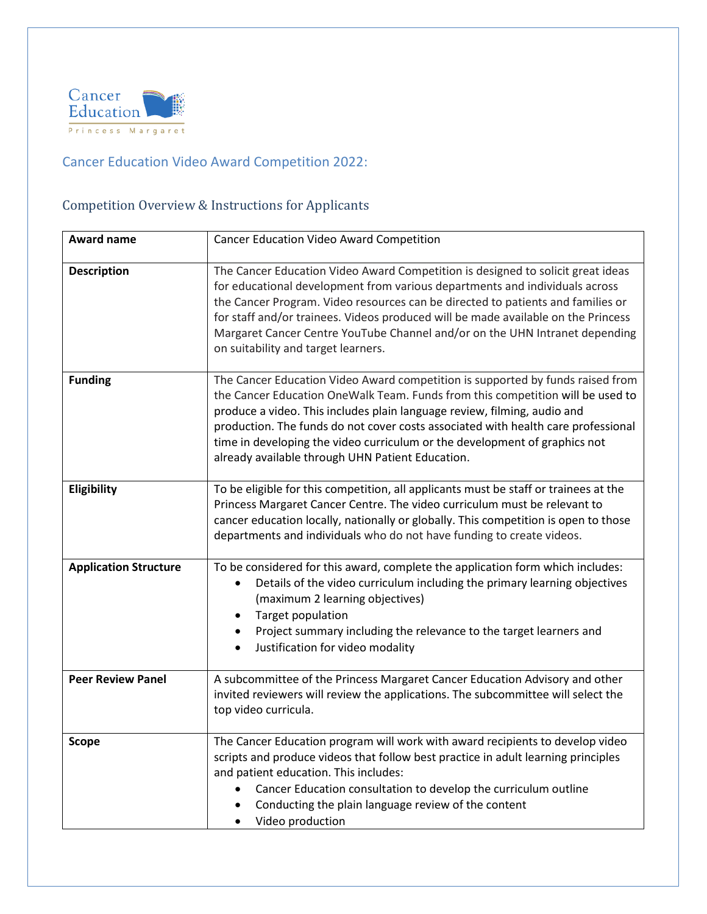

## Cancer Education Video Award Competition 2022:

## Competition Overview & Instructions for Applicants

| <b>Award name</b>            | Cancer Education Video Award Competition                                                                                                                                                                                                                                                                                                                                                                                                                            |
|------------------------------|---------------------------------------------------------------------------------------------------------------------------------------------------------------------------------------------------------------------------------------------------------------------------------------------------------------------------------------------------------------------------------------------------------------------------------------------------------------------|
| <b>Description</b>           | The Cancer Education Video Award Competition is designed to solicit great ideas<br>for educational development from various departments and individuals across<br>the Cancer Program. Video resources can be directed to patients and families or<br>for staff and/or trainees. Videos produced will be made available on the Princess<br>Margaret Cancer Centre YouTube Channel and/or on the UHN Intranet depending<br>on suitability and target learners.        |
| <b>Funding</b>               | The Cancer Education Video Award competition is supported by funds raised from<br>the Cancer Education OneWalk Team. Funds from this competition will be used to<br>produce a video. This includes plain language review, filming, audio and<br>production. The funds do not cover costs associated with health care professional<br>time in developing the video curriculum or the development of graphics not<br>already available through UHN Patient Education. |
| Eligibility                  | To be eligible for this competition, all applicants must be staff or trainees at the<br>Princess Margaret Cancer Centre. The video curriculum must be relevant to<br>cancer education locally, nationally or globally. This competition is open to those<br>departments and individuals who do not have funding to create videos.                                                                                                                                   |
| <b>Application Structure</b> | To be considered for this award, complete the application form which includes:<br>Details of the video curriculum including the primary learning objectives<br>$\bullet$<br>(maximum 2 learning objectives)<br>Target population<br>Project summary including the relevance to the target learners and<br>Justification for video modality<br>$\bullet$                                                                                                             |
| <b>Peer Review Panel</b>     | A subcommittee of the Princess Margaret Cancer Education Advisory and other<br>invited reviewers will review the applications. The subcommittee will select the<br>top video curricula.                                                                                                                                                                                                                                                                             |
| <b>Scope</b>                 | The Cancer Education program will work with award recipients to develop video<br>scripts and produce videos that follow best practice in adult learning principles<br>and patient education. This includes:<br>Cancer Education consultation to develop the curriculum outline<br>$\bullet$<br>Conducting the plain language review of the content<br>Video production<br>$\bullet$                                                                                 |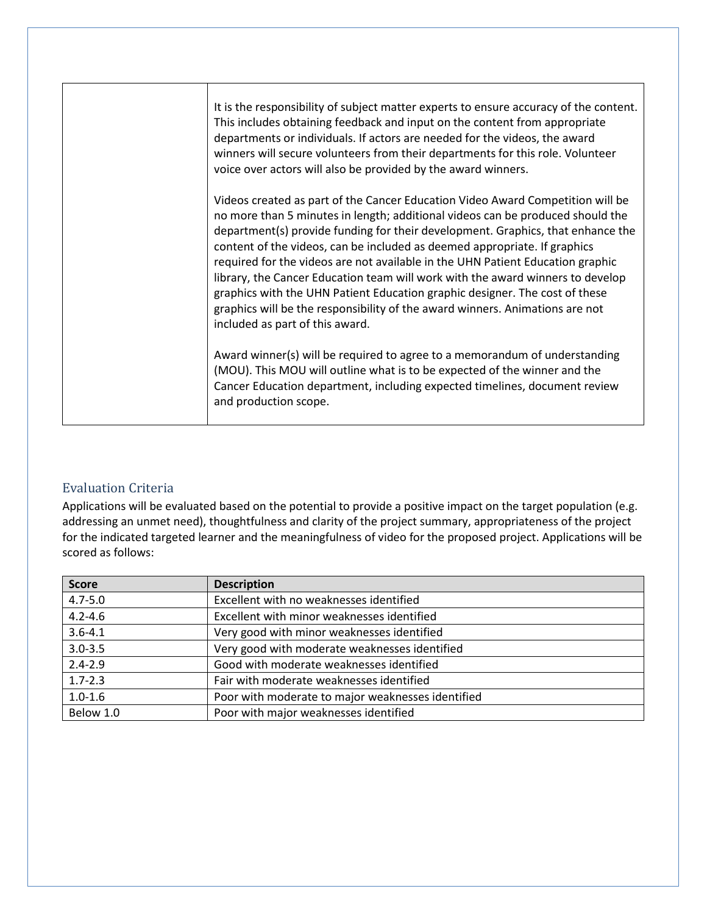| It is the responsibility of subject matter experts to ensure accuracy of the content.<br>This includes obtaining feedback and input on the content from appropriate<br>departments or individuals. If actors are needed for the videos, the award<br>winners will secure volunteers from their departments for this role. Volunteer<br>voice over actors will also be provided by the award winners.                                                                                                                                                                                                                                                                                                   |
|--------------------------------------------------------------------------------------------------------------------------------------------------------------------------------------------------------------------------------------------------------------------------------------------------------------------------------------------------------------------------------------------------------------------------------------------------------------------------------------------------------------------------------------------------------------------------------------------------------------------------------------------------------------------------------------------------------|
| Videos created as part of the Cancer Education Video Award Competition will be<br>no more than 5 minutes in length; additional videos can be produced should the<br>department(s) provide funding for their development. Graphics, that enhance the<br>content of the videos, can be included as deemed appropriate. If graphics<br>required for the videos are not available in the UHN Patient Education graphic<br>library, the Cancer Education team will work with the award winners to develop<br>graphics with the UHN Patient Education graphic designer. The cost of these<br>graphics will be the responsibility of the award winners. Animations are not<br>included as part of this award. |
| Award winner(s) will be required to agree to a memorandum of understanding<br>(MOU). This MOU will outline what is to be expected of the winner and the<br>Cancer Education department, including expected timelines, document review<br>and production scope.                                                                                                                                                                                                                                                                                                                                                                                                                                         |

## Evaluation Criteria

Applications will be evaluated based on the potential to provide a positive impact on the target population (e.g. addressing an unmet need), thoughtfulness and clarity of the project summary, appropriateness of the project for the indicated targeted learner and the meaningfulness of video for the proposed project. Applications will be scored as follows:

| <b>Score</b> | <b>Description</b>                                |
|--------------|---------------------------------------------------|
| $4.7 - 5.0$  | Excellent with no weaknesses identified           |
| $4.2 - 4.6$  | Excellent with minor weaknesses identified        |
| $3.6 - 4.1$  | Very good with minor weaknesses identified        |
| $3.0 - 3.5$  | Very good with moderate weaknesses identified     |
| $2.4 - 2.9$  | Good with moderate weaknesses identified          |
| $1.7 - 2.3$  | Fair with moderate weaknesses identified          |
| $1.0 - 1.6$  | Poor with moderate to major weaknesses identified |
| Below 1.0    | Poor with major weaknesses identified             |